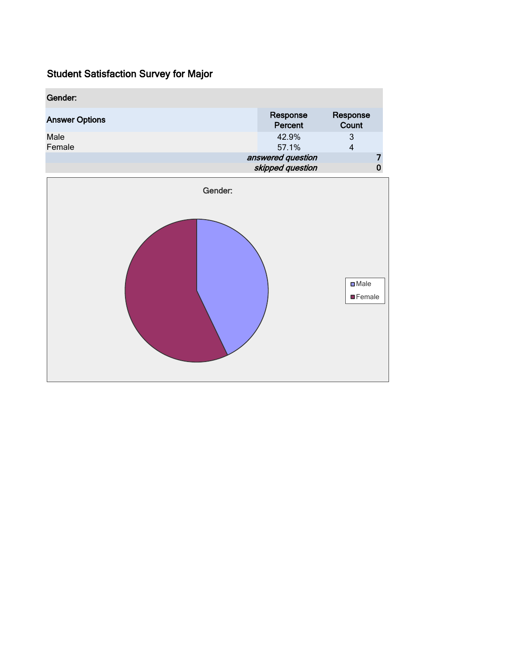| Gender:               |                                       |                   |  |
|-----------------------|---------------------------------------|-------------------|--|
| <b>Answer Options</b> | Response<br>Percent                   | Response<br>Count |  |
| Male<br>Female        | 42.9%<br>57.1%                        | 3<br>4            |  |
|                       | answered question<br>skipped question |                   |  |

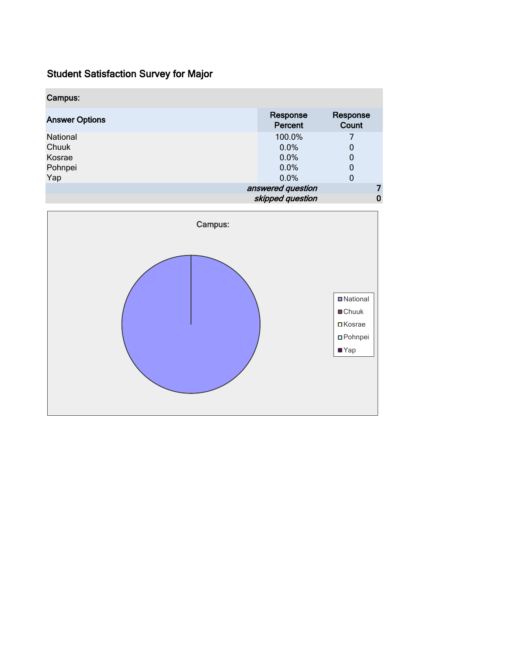| Campus:               |                     |                   |
|-----------------------|---------------------|-------------------|
| <b>Answer Options</b> | Response<br>Percent | Response<br>Count |
| National              | 100.0%              | 7                 |
| Chuuk                 | 0.0%                | 0                 |
| Kosrae                | 0.0%                | 0                 |
| Pohnpei               | 0.0%                | 0                 |
| Yap                   | 0.0%                | 0                 |
|                       | answered question   |                   |
|                       | skipped question    |                   |

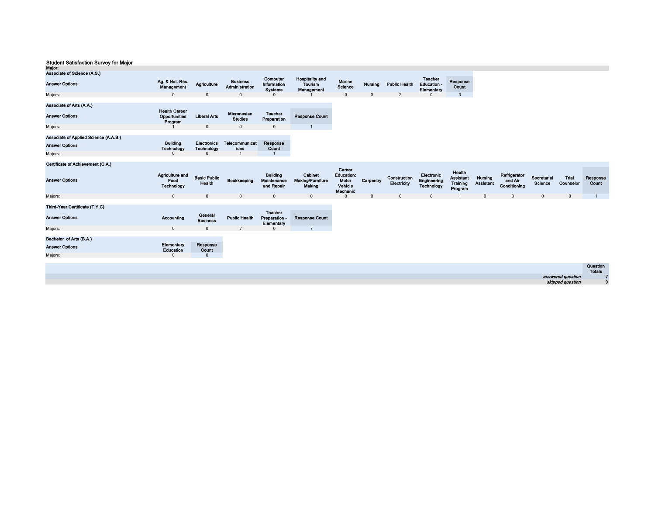| Major:                                |                                                     |                                  |                                   |                                              |                                                 |                                                             |                |                             |                                             |                                            |                             |
|---------------------------------------|-----------------------------------------------------|----------------------------------|-----------------------------------|----------------------------------------------|-------------------------------------------------|-------------------------------------------------------------|----------------|-----------------------------|---------------------------------------------|--------------------------------------------|-----------------------------|
| Associate of Science (A.S.)           |                                                     |                                  |                                   |                                              |                                                 |                                                             |                |                             |                                             |                                            |                             |
| <b>Answer Options</b>                 | Ag. & Nat. Res.<br>Management                       | Agriculture                      | <b>Business</b><br>Administration | Computer<br>Information<br><b>Systems</b>    | <b>Hospitality and</b><br>Tourism<br>Management | Marine<br>Science                                           | <b>Nursing</b> | <b>Public Health</b>        | <b>Teacher</b><br>Education -<br>Elementary | Response<br>Count                          |                             |
| Majors:                               | $\mathbf{0}$                                        | $\mathbf{0}$                     | $\mathbf{0}$                      | 0                                            |                                                 | $\mathbf{0}$                                                | $\mathbf 0$    | 2                           | 0                                           | 3                                          |                             |
|                                       |                                                     |                                  |                                   |                                              |                                                 |                                                             |                |                             |                                             |                                            |                             |
| Associate of Arts (A.A.)              |                                                     |                                  |                                   |                                              |                                                 |                                                             |                |                             |                                             |                                            |                             |
| <b>Answer Options</b>                 | <b>Health Career</b><br>Opportunities<br>Program    | <b>Liberal Arts</b>              | Micronesian<br><b>Studies</b>     | <b>Teacher</b><br>Preparation                | <b>Response Count</b>                           |                                                             |                |                             |                                             |                                            |                             |
| Majors:                               |                                                     | $\mathbf{0}$                     | $\mathbf{0}$                      | $\mathbf 0$                                  |                                                 |                                                             |                |                             |                                             |                                            |                             |
| Associate of Applied Science (A.A.S.) |                                                     |                                  |                                   |                                              |                                                 |                                                             |                |                             |                                             |                                            |                             |
| <b>Answer Options</b>                 | <b>Building</b><br><b>Technology</b>                | <b>Electronics</b><br>Technology | <b>Telecommunicat</b><br>ions     | Response<br>Count                            |                                                 |                                                             |                |                             |                                             |                                            |                             |
| Majors:                               | $\Omega$                                            | $\mathbf{0}$                     |                                   |                                              |                                                 |                                                             |                |                             |                                             |                                            |                             |
| Certificate of Achievement (C.A.)     |                                                     |                                  |                                   |                                              |                                                 |                                                             |                |                             |                                             |                                            |                             |
| <b>Answer Options</b>                 | <b>Agriculture and</b><br>Food<br><b>Technology</b> | <b>Basic Public</b><br>Health    | Bookkeeping                       | <b>Building</b><br>Maintenance<br>and Repair | <b>Cabinet</b><br>Making/Furniture<br>Making    | Career<br><b>Education:</b><br>Motor<br>Vehicle<br>Mechanic | Carpentry      | Construction<br>Electricity | Electronic<br>Engineering<br>Technology     | Health<br>Assistant<br>Training<br>Program | Nursing<br><b>Assistant</b> |
| Majors:                               | $\mathbf{0}$                                        | $\mathbf 0$                      | $\mathbf{0}$                      | $\mathsf 0$                                  | 0                                               | $\mathbf{0}$                                                | $\mathbf 0$    | $\mathbf{0}$                | $\mathbf 0$                                 |                                            | $\mathbf{0}$                |
| Third-Year Certificate (T.Y.C)        |                                                     |                                  |                                   |                                              |                                                 |                                                             |                |                             |                                             |                                            |                             |

| $11110 - 1601$ Cordinate $11.1.01$ |                         |                            |                      |                                               |                       |
|------------------------------------|-------------------------|----------------------------|----------------------|-----------------------------------------------|-----------------------|
| <b>Answer Options</b>              | Accounting              | General<br><b>Business</b> | <b>Public Health</b> | <b>Teacher</b><br>Preparation -<br>Elementary | <b>Response Count</b> |
| Maiors:                            | 0                       | $\mathbf 0$                |                      | $\Omega$                                      |                       |
|                                    |                         |                            |                      |                                               |                       |
| Bachelor of Arts (B.A.)            |                         |                            |                      |                                               |                       |
| <b>Answer Options</b>              | Elementary<br>Education | Response<br>Count          |                      |                                               |                       |
| Majors:                            | 0                       | $\mathbf 0$                |                      |                                               |                       |
|                                    |                         |                            |                      |                                               |                       |

|                   | Question<br>Totals |
|-------------------|--------------------|
| answered question |                    |
| skipped question  |                    |

Refrigerator and Air Conditioning

Secretarial Science Trial Counselor

**0** 0 0 0 1

Response Count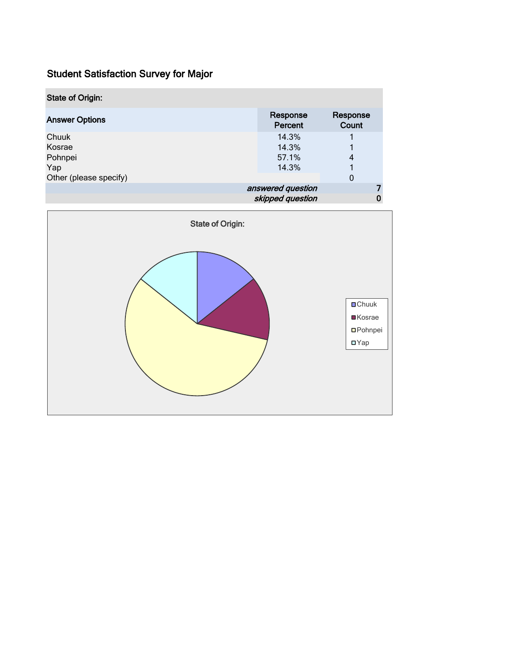| <b>State of Origin:</b> |                     |                   |  |  |  |
|-------------------------|---------------------|-------------------|--|--|--|
| <b>Answer Options</b>   | Response<br>Percent | Response<br>Count |  |  |  |
| Chuuk                   | 14.3%               |                   |  |  |  |
| Kosrae                  | 14.3%               |                   |  |  |  |
| Pohnpei                 | 57.1%               | 4                 |  |  |  |
| Yap                     | 14.3%               |                   |  |  |  |
| Other (please specify)  |                     | 0                 |  |  |  |
|                         | answered question   |                   |  |  |  |
|                         | skipped question    |                   |  |  |  |